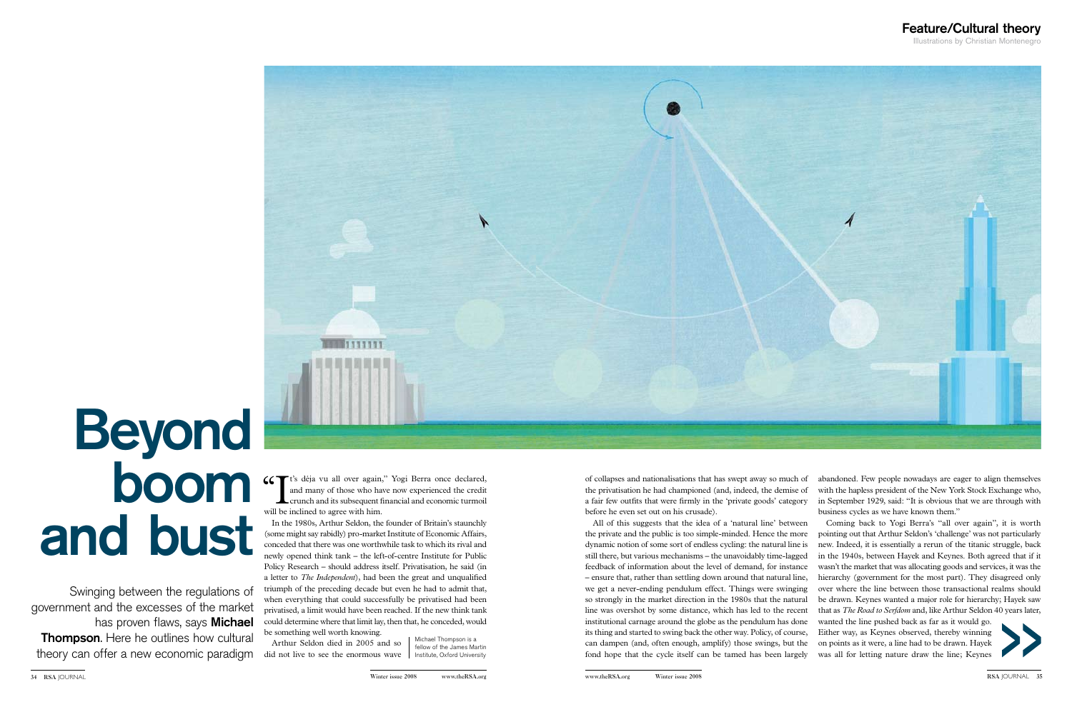CC is déja vu all over again," Yogi Berra once declared,<br>and many of those who have now experienced the credit<br>crunch and its subsequent financial and economic turmoil<br>will be inclined to agree with him and many of those who have now experienced the credit crunch and its subsequent financial and economic turmoil will be inclined to agree with him.



# **Beyond** boom and bust

of collapses and nationalisations that has swept away so much of the privatisation he had championed (and, indeed, the demise of a fair few outfits that were firmly in the 'private goods' category before he even set out on his crusade). abandoned. Few people nowadays are eager to align themselves with the hapless president of the New York Stock Exchange who, in September 1929, said: "It is obvious that we are through with business cycles as we have known them."

In the 1980s, Arthur Seldon, the founder of Britain's staunchly (some might say rabidly) pro-market Institute of Economic Affairs, conceded that there was one worthwhile task to which its rival and newly opened think tank – the left-of-centre Institute for Public Policy Research – should address itself. Privatisation, he said (in a letter to *The Independent*), had been the great and unqualified triumph of the preceding decade but even he had to admit that, when everything that could successfully be privatised had been privatised, a limit would have been reached. If the new think tank could determine where that limit lay, then that, he conceded, would be something well worth knowing.

All of this suggests that the idea of a 'natural line' between the private and the public is too simple-minded. Hence the more dynamic notion of some sort of endless cycling: the natural line is still there, but various mechanisms – the unavoidably time-lagged feedback of information about the level of demand, for instance – ensure that, rather than settling down around that natural line, we get a never-ending pendulum effect. Things were swinging so strongly in the market direction in the 1980s that the natural line was overshot by some distance, which has led to the recent institutional carnage around the globe as the pendulum has done its thing and started to swing back the other way. Policy, of course, can dampen (and, often enough, amplify) those swings, but the fond hope that the cycle itself can be tamed has been largely Coming back to Yogi Berra's "all over again", it is worth pointing out that Arthur Seldon's 'challenge' was not particularly new. Indeed, it is essentially a rerun of the titanic struggle, back in the 1940s, between Hayek and Keynes. Both agreed that if it wasn't the market that was allocating goods and services, it was the hierarchy (government for the most part). They disagreed only over where the line between those transactional realms should be drawn. Keynes wanted a major role for hierarchy; Hayek saw that as *The Road to Serfdom* and, like Arthur Seldon 40 years later, wanted the line pushed back as far as it would go. Either way, as Keynes observed, thereby winning on points as it were, a line had to be drawn. Hayek was all for letting nature draw the line; Keynes

Arthur Seldon died in 2005 and so did not live to see the enormous wave

Swinging between the regulations of government and the excesses of the market has proven flaws, says Michael **Thompson.** Here he outlines how cultural theory can offer a new economic paradigm

Michael Thompson is a fellow of the James Martin Institute, Oxford University

#### Feature/Cultural theory

Illustrations by Christian Montenegro

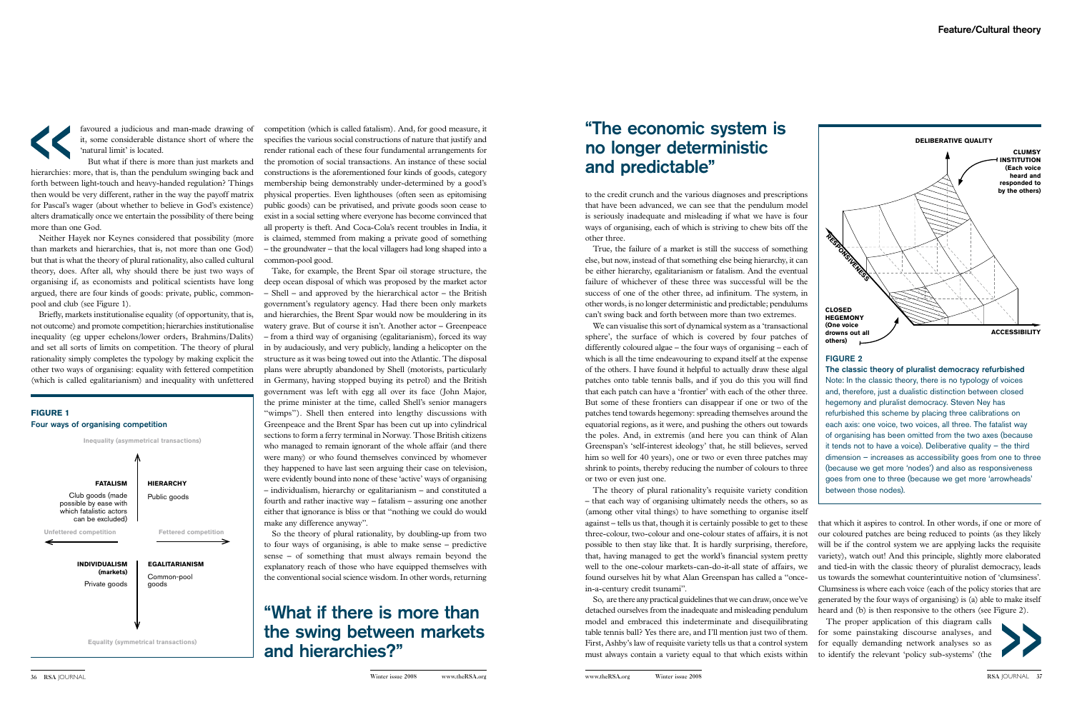favoured a judicious and man-made drawing of it, some considerable distance short of where the 'natural limit' is located.

But what if there is more than just markets and hierarchies: more, that is, than the pendulum swinging back and forth between light-touch and heavy-handed regulation? Things then would be very different, rather in the way the payoff matrix for Pascal's wager (about whether to believe in God's existence) alters dramatically once we entertain the possibility of there being more than one God.

Neither Hayek nor Keynes considered that possibility (more than markets and hierarchies, that is, not more than one God) but that is what the theory of plural rationality, also called cultural theory, does. After all, why should there be just two ways of organising if, as economists and political scientists have long argued, there are four kinds of goods: private, public, commonpool and club (see Figure 1).

Briefly, markets institutionalise equality (of opportunity, that is, not outcome) and promote competition; hierarchies institutionalise inequality (eg upper echelons/lower orders, Brahmins/Dalits) and set all sorts of limits on competition. The theory of plural rationality simply completes the typology by making explicit the other two ways of organising: equality with fettered competition (which is called egalitarianism) and inequality with unfettered

competition (which is called fatalism). And, for good measure, it specifies the various social constructions of nature that justify and render rational each of these four fundamental arrangements for the promotion of social transactions. An instance of these social constructions is the aforementioned four kinds of goods, category membership being demonstrably under-determined by a good's physical properties. Even lighthouses (often seen as epitomising public goods) can be privatised, and private goods soon cease to exist in a social setting where everyone has become convinced that all property is theft. And Coca-Cola's recent troubles in India, it is claimed, stemmed from making a private good of something – the groundwater – that the local villagers had long shaped into a common-pool good.

Take, for example, the Brent Spar oil storage structure, the deep ocean disposal of which was proposed by the market actor – Shell – and approved by the hierarchical actor – the British government's regulatory agency. Had there been only markets and hierarchies, the Brent Spar would now be mouldering in its watery grave. But of course it isn't. Another actor – Greenpeace – from a third way of organising (egalitarianism), forced its way in by audaciously, and very publicly, landing a helicopter on the structure as it was being towed out into the Atlantic. The disposal plans were abruptly abandoned by Shell (motorists, particularly in Germany, having stopped buying its petrol) and the British government was left with egg all over its face (John Major, the prime minister at the time, called Shell's senior managers "wimps"). Shell then entered into lengthy discussions with Greenpeace and the Brent Spar has been cut up into cylindrical sections to form a ferry terminal in Norway. Those British citizens who managed to remain ignorant of the whole affair (and there were many) or who found themselves convinced by whomever they happened to have last seen arguing their case on television, were evidently bound into none of these 'active' ways of organising – individualism, hierarchy or egalitarianism – and constituted a fourth and rather inactive way – fatalism – assuring one another either that ignorance is bliss or that "nothing we could do would make any difference anyway".

So the theory of plural rationality, by doubling-up from two to four ways of organising, is able to make sense – predictive sense – of something that must always remain beyond the explanatory reach of those who have equipped themselves with the conventional social science wisdom. In other words, returning to the credit crunch and the various diagnoses and prescriptions that have been advanced, we can see that the pendulum model is seriously inadequate and misleading if what we have is four ways of organising, each of which is striving to chew bits off the other three.

True, the failure of a market is still the success of something else, but now, instead of that something else being hierarchy, it can be either hierarchy, egalitarianism or fatalism. And the eventual failure of whichever of these three was successful will be the success of one of the other three, ad infinitum. The system, in other words, is no longer deterministic and predictable; pendulums can't swing back and forth between more than two extremes.

We can visualise this sort of dynamical system as a 'transactional sphere', the surface of which is covered by four patches of differently coloured algae – the four ways of organising – each of which is all the time endeavouring to expand itself at the expense of the others. I have found it helpful to actually draw these algal patches onto table tennis balls, and if you do this you will find that each patch can have a 'frontier' with each of the other three. But some of these frontiers can disappear if one or two of the patches tend towards hegemony: spreading themselves around the equatorial regions, as it were, and pushing the others out towards the poles. And, in extremis (and here you can think of Alan Greenspan's 'self-interest ideology' that, he still believes, served him so well for 40 years), one or two or even three patches may shrink to points, thereby reducing the number of colours to three or two or even just one.

The theory of plural rationality's requisite variety condition – that each way of organising ultimately needs the others, so as (among other vital things) to have something to organise itself against – tells us that, though it is certainly possible to get to these three-colour, two-colour and one-colour states of affairs, it is not possible to then stay like that. It is hardly surprising, therefore, that, having managed to get the world's financial system pretty well to the one-colour markets-can-do-it-all state of affairs, we found ourselves hit by what Alan Greenspan has called a "oncein-a-century credit tsunami". So, are there any practical guidelines that we can draw, once we've detached ourselves from the inadequate and misleading pendulum that which it aspires to control. In other words, if one or more of our coloured patches are being reduced to points (as they likely will be if the control system we are applying lacks the requisite variety), watch out! And this principle, slightly more elaborated and tied-in with the classic theory of pluralist democracy, leads us towards the somewhat counterintuitive notion of 'clumsiness'. Clumsiness is where each voice (each of the policy stories that are generated by the four ways of organising) is (a) able to make itself heard and (b) is then responsive to the others (see Figure 2).

#### "The economic system is no longer deterministic and predictable"

model and embraced this indeterminate and disequilibrating table tennis ball? Yes there are, and I'll mention just two of them. First, Ashby's law of requisite variety tells us that a control system must always contain a variety equal to that which exists within The proper application of this diagram calls for some painstaking discourse analyses, and for equally demanding network analyses so as to identify the relevant 'policy sub-systems' (the

## "What if there is more than the swing between markets and hierarchies?"



#### Figure 2

The classic theory of pluralist democracy refurbished Note: In the classic theory, there is no typology of voices and, therefore, just a dualistic distinction between closed hegemony and pluralist democracy. Steven Ney has refurbished this scheme by placing three calibrations on each axis: one voice, two voices, all three. The fatalist way of organising has been omitted from the two axes (because it tends not to have a voice). Deliberative quality – the third dimension – increases as accessibility goes from one to three (because we get more 'nodes') and also as responsiveness goes from one to three (because we get more 'arrowheads' between those nodes).